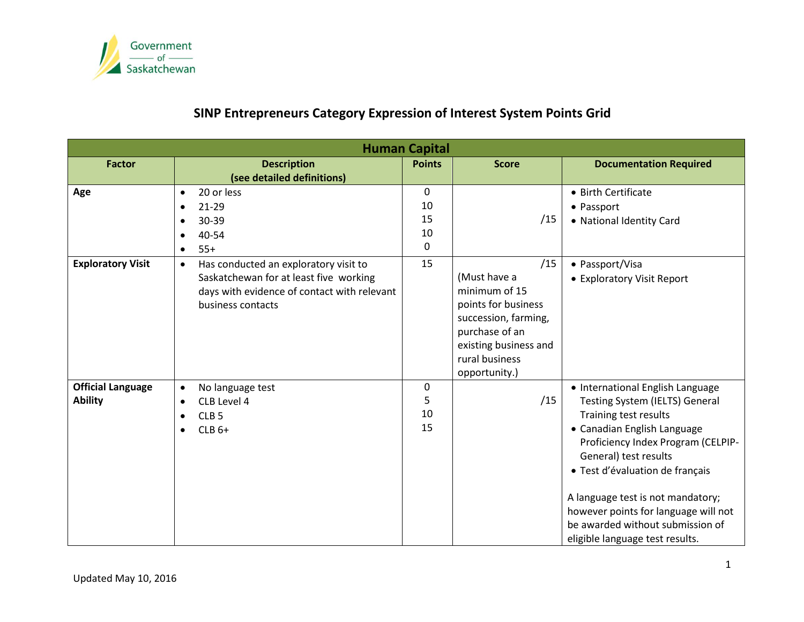

# **SINP Entrepreneurs Category Expression of Interest System Points Grid**

| <b>Human Capital</b>     |                                                    |               |                       |                                      |  |  |  |
|--------------------------|----------------------------------------------------|---------------|-----------------------|--------------------------------------|--|--|--|
| <b>Factor</b>            | <b>Description</b>                                 | <b>Points</b> | <b>Score</b>          | <b>Documentation Required</b>        |  |  |  |
|                          | (see detailed definitions)                         |               |                       |                                      |  |  |  |
| Age                      | 20 or less<br>$\bullet$                            | $\mathbf 0$   |                       | • Birth Certificate                  |  |  |  |
|                          | 21-29<br>$\bullet$                                 | 10            |                       | • Passport                           |  |  |  |
|                          | 30-39<br>$\bullet$                                 | 15            | /15                   | • National Identity Card             |  |  |  |
|                          | 40-54<br>$\bullet$                                 | 10            |                       |                                      |  |  |  |
|                          | $55+$<br>$\bullet$                                 | $\mathbf 0$   |                       |                                      |  |  |  |
| <b>Exploratory Visit</b> | Has conducted an exploratory visit to<br>$\bullet$ | 15            | /15                   | • Passport/Visa                      |  |  |  |
|                          | Saskatchewan for at least five working             |               | (Must have a          | • Exploratory Visit Report           |  |  |  |
|                          | days with evidence of contact with relevant        |               | minimum of 15         |                                      |  |  |  |
|                          | business contacts                                  |               | points for business   |                                      |  |  |  |
|                          |                                                    |               | succession, farming,  |                                      |  |  |  |
|                          |                                                    |               | purchase of an        |                                      |  |  |  |
|                          |                                                    |               | existing business and |                                      |  |  |  |
|                          |                                                    |               | rural business        |                                      |  |  |  |
|                          |                                                    |               | opportunity.)         |                                      |  |  |  |
| <b>Official Language</b> | No language test<br>$\bullet$                      | $\mathbf 0$   |                       | • International English Language     |  |  |  |
| <b>Ability</b>           | CLB Level 4<br>$\bullet$                           | 5             | /15                   | Testing System (IELTS) General       |  |  |  |
|                          | CLB <sub>5</sub><br>$\bullet$                      | 10            |                       | Training test results                |  |  |  |
|                          | $CLB6+$<br>$\bullet$                               | 15            |                       | • Canadian English Language          |  |  |  |
|                          |                                                    |               |                       | Proficiency Index Program (CELPIP-   |  |  |  |
|                          |                                                    |               |                       | General) test results                |  |  |  |
|                          |                                                    |               |                       | · Test d'évaluation de français      |  |  |  |
|                          |                                                    |               |                       | A language test is not mandatory;    |  |  |  |
|                          |                                                    |               |                       | however points for language will not |  |  |  |
|                          |                                                    |               |                       | be awarded without submission of     |  |  |  |
|                          |                                                    |               |                       | eligible language test results.      |  |  |  |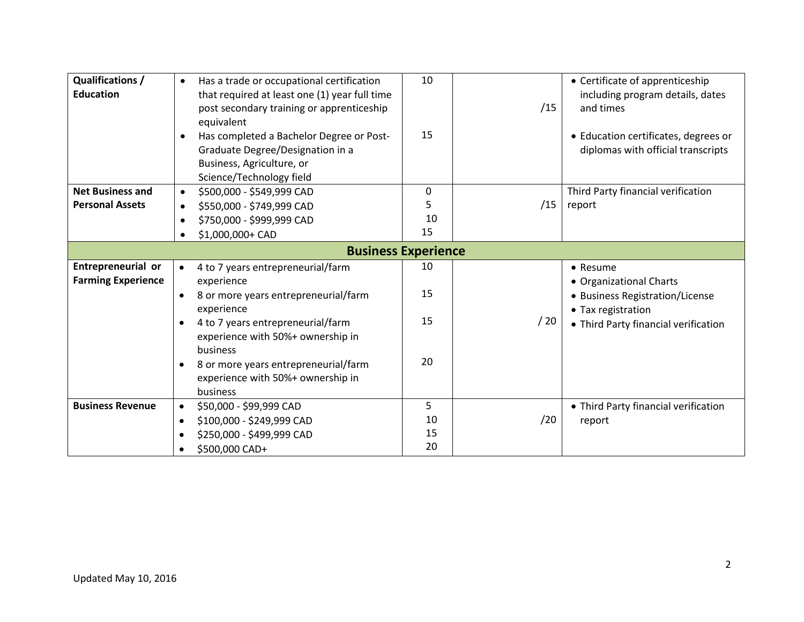| <b>Qualifications /</b><br><b>Education</b> | Has a trade or occupational certification<br>$\bullet$<br>that required at least one (1) year full time<br>post secondary training or apprenticeship<br>equivalent<br>Has completed a Bachelor Degree or Post-<br>Graduate Degree/Designation in a<br>Business, Agriculture, or | 10<br>15 | /15 | • Certificate of apprenticeship<br>including program details, dates<br>and times<br>• Education certificates, degrees or<br>diplomas with official transcripts |  |  |  |
|---------------------------------------------|---------------------------------------------------------------------------------------------------------------------------------------------------------------------------------------------------------------------------------------------------------------------------------|----------|-----|----------------------------------------------------------------------------------------------------------------------------------------------------------------|--|--|--|
|                                             | Science/Technology field                                                                                                                                                                                                                                                        |          |     |                                                                                                                                                                |  |  |  |
| <b>Net Business and</b>                     | \$500,000 - \$549,999 CAD<br>$\bullet$                                                                                                                                                                                                                                          | 0        |     | Third Party financial verification                                                                                                                             |  |  |  |
| <b>Personal Assets</b>                      | \$550,000 - \$749,999 CAD<br>$\bullet$                                                                                                                                                                                                                                          | 5        | /15 | report                                                                                                                                                         |  |  |  |
|                                             | \$750,000 - \$999,999 CAD<br>$\bullet$                                                                                                                                                                                                                                          | 10       |     |                                                                                                                                                                |  |  |  |
|                                             | \$1,000,000+ CAD                                                                                                                                                                                                                                                                | 15       |     |                                                                                                                                                                |  |  |  |
| <b>Business Experience</b>                  |                                                                                                                                                                                                                                                                                 |          |     |                                                                                                                                                                |  |  |  |
| Entrepreneurial or                          | 4 to 7 years entrepreneurial/farm<br>$\bullet$                                                                                                                                                                                                                                  | 10       |     | • Resume                                                                                                                                                       |  |  |  |
| <b>Farming Experience</b>                   | experience                                                                                                                                                                                                                                                                      |          |     | • Organizational Charts                                                                                                                                        |  |  |  |
|                                             | 8 or more years entrepreneurial/farm<br>$\bullet$                                                                                                                                                                                                                               | 15       |     | • Business Registration/License                                                                                                                                |  |  |  |
|                                             | experience                                                                                                                                                                                                                                                                      |          |     | • Tax registration                                                                                                                                             |  |  |  |
|                                             | 4 to 7 years entrepreneurial/farm<br>$\bullet$                                                                                                                                                                                                                                  | 15       | /20 | • Third Party financial verification                                                                                                                           |  |  |  |
|                                             | experience with 50%+ ownership in                                                                                                                                                                                                                                               |          |     |                                                                                                                                                                |  |  |  |
|                                             | business                                                                                                                                                                                                                                                                        |          |     |                                                                                                                                                                |  |  |  |
|                                             | 8 or more years entrepreneurial/farm<br>$\bullet$                                                                                                                                                                                                                               | 20       |     |                                                                                                                                                                |  |  |  |
|                                             | experience with 50%+ ownership in                                                                                                                                                                                                                                               |          |     |                                                                                                                                                                |  |  |  |
|                                             | business                                                                                                                                                                                                                                                                        |          |     |                                                                                                                                                                |  |  |  |
| <b>Business Revenue</b>                     | \$50,000 - \$99,999 CAD<br>$\bullet$                                                                                                                                                                                                                                            | 5        |     | • Third Party financial verification                                                                                                                           |  |  |  |
|                                             | \$100,000 - \$249,999 CAD<br>$\bullet$                                                                                                                                                                                                                                          | 10       | /20 | report                                                                                                                                                         |  |  |  |
|                                             | \$250,000 - \$499,999 CAD<br>$\bullet$                                                                                                                                                                                                                                          | 15       |     |                                                                                                                                                                |  |  |  |
|                                             | \$500,000 CAD+                                                                                                                                                                                                                                                                  | 20       |     |                                                                                                                                                                |  |  |  |
|                                             |                                                                                                                                                                                                                                                                                 |          |     |                                                                                                                                                                |  |  |  |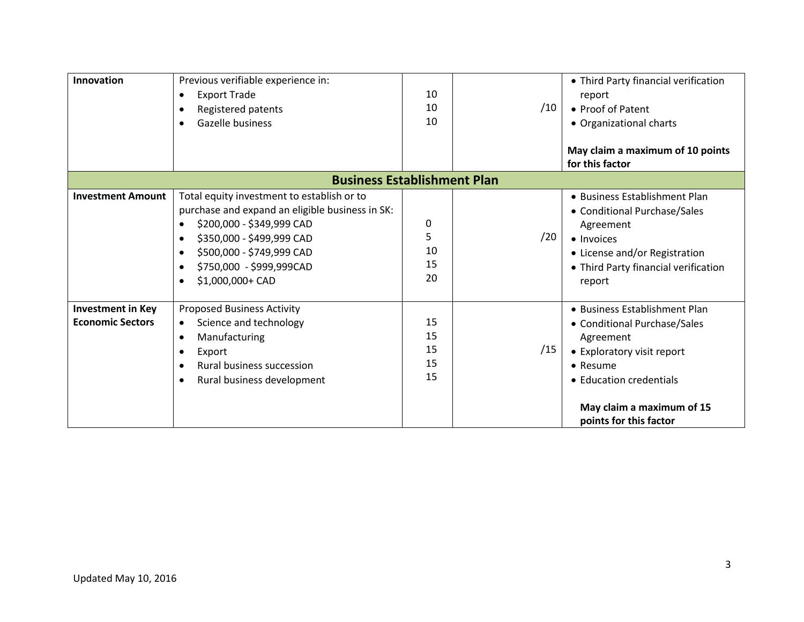| Innovation                                            | Previous verifiable experience in:<br><b>Export Trade</b><br>$\bullet$<br>Registered patents<br>Gazelle business                                                                                                                     | 10<br>10<br>10             | /10 | • Third Party financial verification<br>report<br>• Proof of Patent<br>• Organizational charts<br>May claim a maximum of 10 points                                                                     |  |  |  |
|-------------------------------------------------------|--------------------------------------------------------------------------------------------------------------------------------------------------------------------------------------------------------------------------------------|----------------------------|-----|--------------------------------------------------------------------------------------------------------------------------------------------------------------------------------------------------------|--|--|--|
| for this factor<br><b>Business Establishment Plan</b> |                                                                                                                                                                                                                                      |                            |     |                                                                                                                                                                                                        |  |  |  |
| <b>Investment Amount</b>                              | Total equity investment to establish or to<br>purchase and expand an eligible business in SK:<br>\$200,000 - \$349,999 CAD<br>\$350,000 - \$499,999 CAD<br>\$500,000 - \$749,999 CAD<br>\$750,000 - \$999,999CAD<br>\$1,000,000+ CAD | 0<br>5<br>10<br>15<br>20   | /20 | • Business Establishment Plan<br>• Conditional Purchase/Sales<br>Agreement<br>• Invoices<br>• License and/or Registration<br>• Third Party financial verification<br>report                            |  |  |  |
| <b>Investment in Key</b><br><b>Economic Sectors</b>   | <b>Proposed Business Activity</b><br>Science and technology<br>$\bullet$<br>Manufacturing<br>$\bullet$<br>Export<br>$\bullet$<br><b>Rural business succession</b><br>Rural business development                                      | 15<br>15<br>15<br>15<br>15 | /15 | • Business Establishment Plan<br>• Conditional Purchase/Sales<br>Agreement<br>• Exploratory visit report<br>• Resume<br>• Education credentials<br>May claim a maximum of 15<br>points for this factor |  |  |  |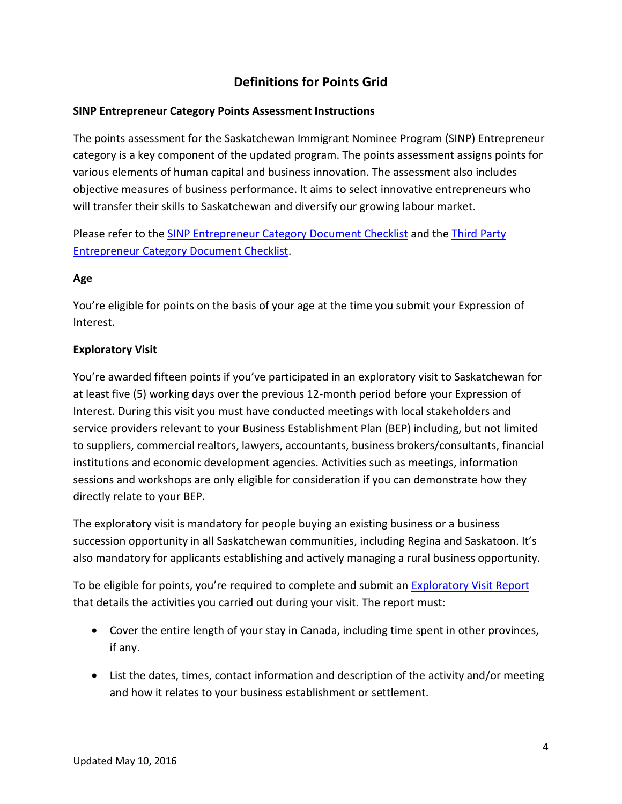## **Definitions for Points Grid**

## **SINP Entrepreneur Category Points Assessment Instructions**

The points assessment for the Saskatchewan Immigrant Nominee Program (SINP) Entrepreneur category is a key component of the updated program. The points assessment assigns points for various elements of human capital and business innovation. The assessment also includes objective measures of business performance. It aims to select innovative entrepreneurs who will transfer their skills to Saskatchewan and diversify our growing labour market.

Please refer to the SINP [Entrepreneur Category](http://publications.gov.sk.ca/redirect.cfm?p=76096&i=85175) Document Checklist and the [Third Party](http://publications.gov.sk.ca/redirect.cfm?p=76097&i=85179)  [Entrepreneur Category Document Checklist.](http://publications.gov.sk.ca/redirect.cfm?p=76097&i=85179)

## **Age**

You're eligible for points on the basis of your age at the time you submit your Expression of Interest.

## **Exploratory Visit**

You're awarded fifteen points if you've participated in an exploratory visit to Saskatchewan for at least five (5) working days over the previous 12-month period before your Expression of Interest. During this visit you must have conducted meetings with local stakeholders and service providers relevant to your Business Establishment Plan (BEP) including, but not limited to suppliers, commercial realtors, lawyers, accountants, business brokers/consultants, financial institutions and economic development agencies. Activities such as meetings, information sessions and workshops are only eligible for consideration if you can demonstrate how they directly relate to your BEP.

The exploratory visit is mandatory for people buying an existing business or a business succession opportunity in all Saskatchewan communities, including Regina and Saskatoon. It's also mandatory for applicants establishing and actively managing a rural business opportunity.

To be eligible for points, you're required to complete and submit an **[Exploratory Visit Report](http://publications.gov.sk.ca/redirect.cfm?p=79348&i=89679)** that details the activities you carried out during your visit. The report must:

- Cover the entire length of your stay in Canada, including time spent in other provinces, if any.
- List the dates, times, contact information and description of the activity and/or meeting and how it relates to your business establishment or settlement.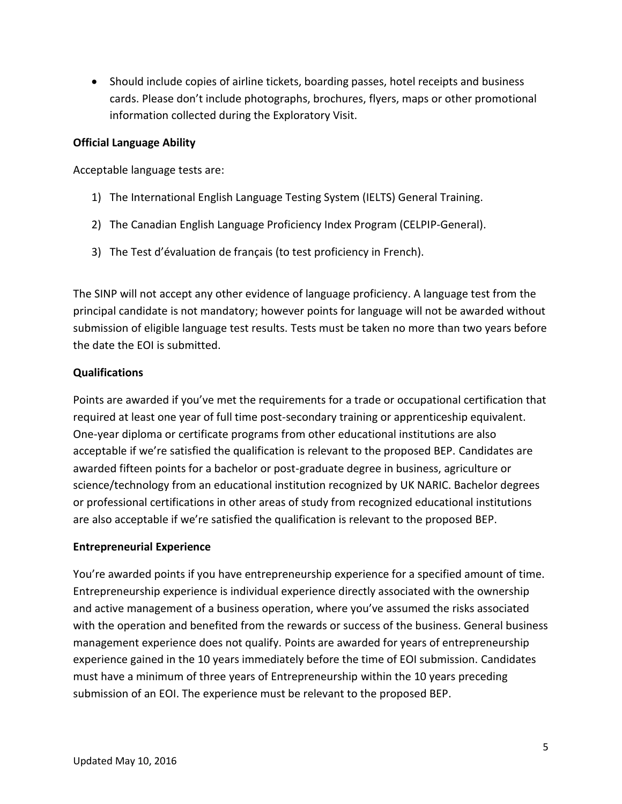• Should include copies of airline tickets, boarding passes, hotel receipts and business cards. Please don't include photographs, brochures, flyers, maps or other promotional information collected during the Exploratory Visit.

#### **Official Language Ability**

Acceptable language tests are:

- 1) The International English Language Testing System (IELTS) General Training.
- 2) The Canadian English Language Proficiency Index Program (CELPIP-General).
- 3) The Test d'évaluation de français (to test proficiency in French).

The SINP will not accept any other evidence of language proficiency. A language test from the principal candidate is not mandatory; however points for language will not be awarded without submission of eligible language test results. Tests must be taken no more than two years before the date the EOI is submitted.

#### **Qualifications**

Points are awarded if you've met the requirements for a trade or occupational certification that required at least one year of full time post-secondary training or apprenticeship equivalent. One-year diploma or certificate programs from other educational institutions are also acceptable if we're satisfied the qualification is relevant to the proposed BEP. Candidates are awarded fifteen points for a bachelor or post-graduate degree in business, agriculture or science/technology from an educational institution recognized by UK NARIC. Bachelor degrees or professional certifications in other areas of study from recognized educational institutions are also acceptable if we're satisfied the qualification is relevant to the proposed BEP.

#### **Entrepreneurial Experience**

You're awarded points if you have entrepreneurship experience for a specified amount of time. Entrepreneurship experience is individual experience directly associated with the ownership and active management of a business operation, where you've assumed the risks associated with the operation and benefited from the rewards or success of the business. General business management experience does not qualify. Points are awarded for years of entrepreneurship experience gained in the 10 years immediately before the time of EOI submission. Candidates must have a minimum of three years of Entrepreneurship within the 10 years preceding submission of an EOI. The experience must be relevant to the proposed BEP.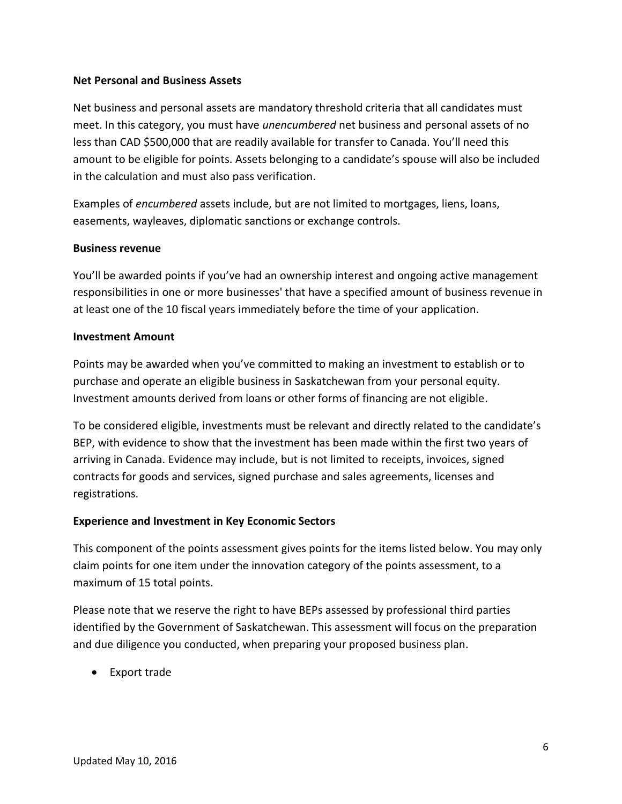#### **Net Personal and Business Assets**

Net business and personal assets are mandatory threshold criteria that all candidates must meet. In this category, you must have *unencumbered* net business and personal assets of no less than CAD \$500,000 that are readily available for transfer to Canada. You'll need this amount to be eligible for points. Assets belonging to a candidate's spouse will also be included in the calculation and must also pass verification.

Examples of *encumbered* assets include, but are not limited to mortgages, liens, loans, easements, wayleaves, diplomatic sanctions or exchange controls.

#### **Business revenue**

You'll be awarded points if you've had an ownership interest and ongoing active management responsibilities in one or more businesses' that have a specified amount of business revenue in at least one of the 10 fiscal years immediately before the time of your application.

#### **Investment Amount**

Points may be awarded when you've committed to making an investment to establish or to purchase and operate an eligible business in Saskatchewan from your personal equity. Investment amounts derived from loans or other forms of financing are not eligible.

To be considered eligible, investments must be relevant and directly related to the candidate's BEP, with evidence to show that the investment has been made within the first two years of arriving in Canada. Evidence may include, but is not limited to receipts, invoices, signed contracts for goods and services, signed purchase and sales agreements, licenses and registrations.

#### **Experience and Investment in Key Economic Sectors**

This component of the points assessment gives points for the items listed below. You may only claim points for one item under the innovation category of the points assessment, to a maximum of 15 total points.

Please note that we reserve the right to have BEPs assessed by professional third parties identified by the Government of Saskatchewan. This assessment will focus on the preparation and due diligence you conducted, when preparing your proposed business plan.

Export trade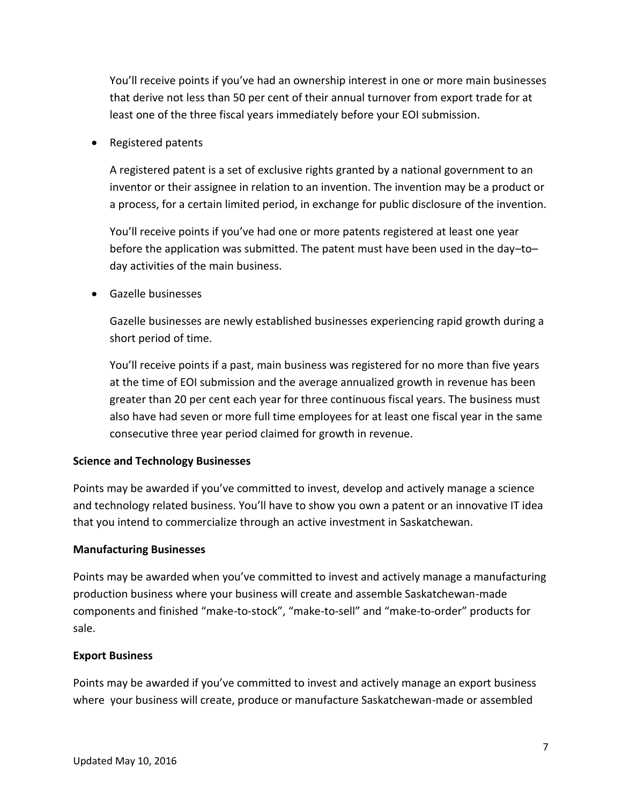You'll receive points if you've had an ownership interest in one or more main businesses that derive not less than 50 per cent of their annual turnover from export trade for at least one of the three fiscal years immediately before your EOI submission.

• Registered patents

A registered patent is a set of exclusive rights granted by a national government to an inventor or their assignee in relation to an invention. The invention may be a product or a process, for a certain limited period, in exchange for public disclosure of the invention.

You'll receive points if you've had one or more patents registered at least one year before the application was submitted. The patent must have been used in the day–to– day activities of the main business.

Gazelle businesses

Gazelle businesses are newly established businesses experiencing rapid growth during a short period of time.

You'll receive points if a past, main business was registered for no more than five years at the time of EOI submission and the average annualized growth in revenue has been greater than 20 per cent each year for three continuous fiscal years. The business must also have had seven or more full time employees for at least one fiscal year in the same consecutive three year period claimed for growth in revenue.

#### **Science and Technology Businesses**

Points may be awarded if you've committed to invest, develop and actively manage a science and technology related business. You'll have to show you own a patent or an innovative IT idea that you intend to commercialize through an active investment in Saskatchewan.

#### **Manufacturing Businesses**

Points may be awarded when you've committed to invest and actively manage a manufacturing production business where your business will create and assemble Saskatchewan-made components and finished "make-to-stock", "make-to-sell" and "make-to-order" products for sale.

#### **Export Business**

Points may be awarded if you've committed to invest and actively manage an export business where your business will create, produce or manufacture Saskatchewan-made or assembled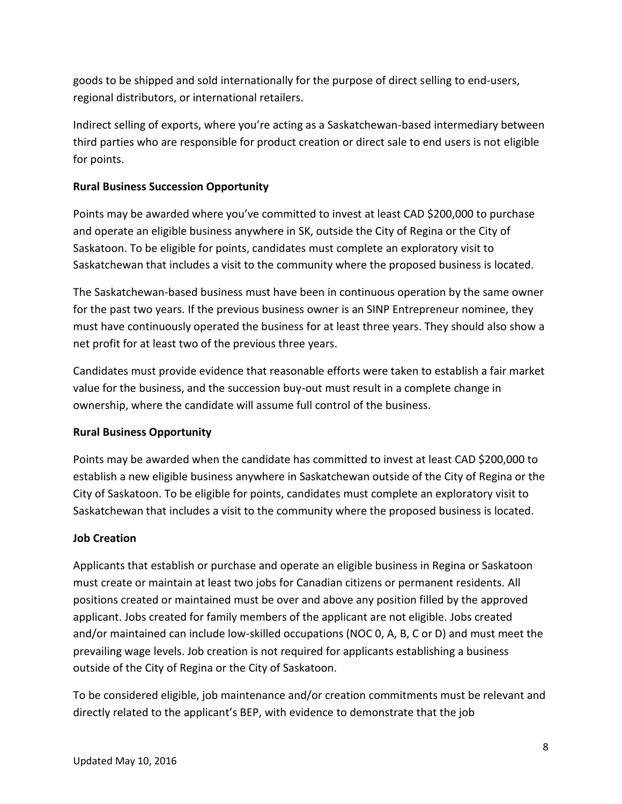goods to be shipped and sold internationally for the purpose of direct selling to end-users, regional distributors, or international retailers.

Indirect selling of exports, where you're acting as a Saskatchewan-based intermediary between third parties who are responsible for product creation or direct sale to end users is not eligible for points.

## **Rural Business Succession Opportunity**

Points may be awarded where you've committed to invest at least CAD \$200,000 to purchase and operate an eligible business anywhere in SK, outside the City of Regina or the City of Saskatoon. To be eligible for points, candidates must complete an exploratory visit to Saskatchewan that includes a visit to the community where the proposed business is located.

The Saskatchewan-based business must have been in continuous operation by the same owner for the past two years. If the previous business owner is an SINP Entrepreneur nominee, they must have continuously operated the business for at least three years. They should also show a net profit for at least two of the previous three years.

Candidates must provide evidence that reasonable efforts were taken to establish a fair market value for the business, and the succession buy-out must result in a complete change in ownership, where the candidate will assume full control of the business.

#### **Rural Business Opportunity**

Points may be awarded when the candidate has committed to invest at least CAD \$200,000 to establish a new eligible business anywhere in Saskatchewan outside of the City of Regina or the City of Saskatoon. To be eligible for points, candidates must complete an exploratory visit to Saskatchewan that includes a visit to the community where the proposed business is located.

#### **Job Creation**

Applicants that establish or purchase and operate an eligible business in Regina or Saskatoon must create or maintain at least two jobs for Canadian citizens or permanent residents. All positions created or maintained must be over and above any position filled by the approved applicant. Jobs created for family members of the applicant are not eligible. Jobs created and/or maintained can include low-skilled occupations (NOC 0, A, B, C or D) and must meet the prevailing wage levels. Job creation is not required for applicants establishing a business outside of the City of Regina or the City of Saskatoon.

To be considered eligible, job maintenance and/or creation commitments must be relevant and directly related to the applicant's BEP, with evidence to demonstrate that the job